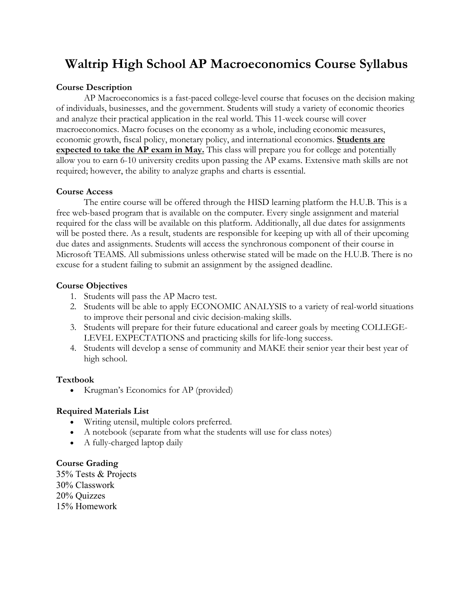# **Waltrip High School AP Macroeconomics Course Syllabus**

## **Course Description**

AP Macroeconomics is a fast-paced college-level course that focuses on the decision making of individuals, businesses, and the government. Students will study a variety of economic theories and analyze their practical application in the real world. This 11-week course will cover macroeconomics. Macro focuses on the economy as a whole, including economic measures, economic growth, fiscal policy, monetary policy, and international economics. **Students are expected to take the AP exam in May.** This class will prepare you for college and potentially allow you to earn 6-10 university credits upon passing the AP exams. Extensive math skills are not required; however, the ability to analyze graphs and charts is essential.

## **Course Access**

The entire course will be offered through the HISD learning platform the H.U.B. This is a free web-based program that is available on the computer. Every single assignment and material required for the class will be available on this platform. Additionally, all due dates for assignments will be posted there. As a result, students are responsible for keeping up with all of their upcoming due dates and assignments. Students will access the synchronous component of their course in Microsoft TEAMS. All submissions unless otherwise stated will be made on the H.U.B. There is no excuse for a student failing to submit an assignment by the assigned deadline.

## **Course Objectives**

- 1. Students will pass the AP Macro test.
- 2. Students will be able to apply ECONOMIC ANALYSIS to a variety of real-world situations to improve their personal and civic decision-making skills.
- 3. Students will prepare for their future educational and career goals by meeting COLLEGE-LEVEL EXPECTATIONS and practicing skills for life-long success.
- 4. Students will develop a sense of community and MAKE their senior year their best year of high school.

## **Textbook**

• Krugman's Economics for AP (provided)

## **Required Materials List**

- Writing utensil, multiple colors preferred.
- A notebook (separate from what the students will use for class notes)
- A fully-charged laptop daily

## **Course Grading**

35% Tests & Projects 30% Classwork 20% Quizzes 15% Homework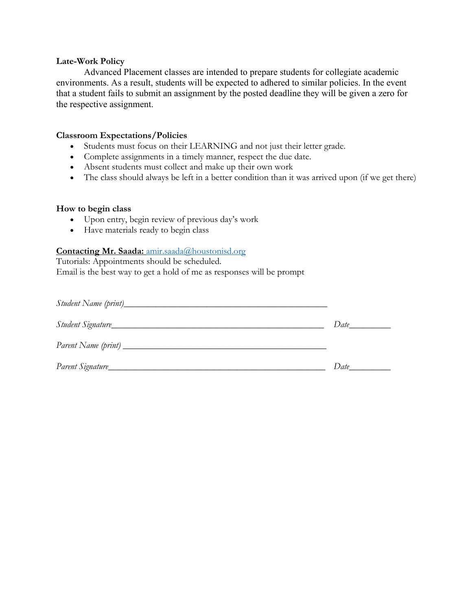#### **Late-Work Policy**

Advanced Placement classes are intended to prepare students for collegiate academic environments. As a result, students will be expected to adhered to similar policies. In the event that a student fails to submit an assignment by the posted deadline they will be given a zero for the respective assignment.

#### **Classroom Expectations/Policies**

- Students must focus on their LEARNING and not just their letter grade.
- Complete assignments in a timely manner, respect the due date.
- Absent students must collect and make up their own work
- The class should always be left in a better condition than it was arrived upon (if we get there)

#### **How to begin class**

- Upon entry, begin review of previous day's work
- Have materials ready to begin class

## **Contacting Mr. Saada:** amir.saada@houstonisd.org

Tutorials: Appointments should be scheduled. Email is the best way to get a hold of me as responses will be prompt

| Student Signature | Date in the same of the same of the same of the same of the same of the same of the same of the same of the same of the same of the same of the same of the same of the same of the same of the same of the same of the same o |
|-------------------|--------------------------------------------------------------------------------------------------------------------------------------------------------------------------------------------------------------------------------|
|                   |                                                                                                                                                                                                                                |
| Parent Signature_ | Date                                                                                                                                                                                                                           |